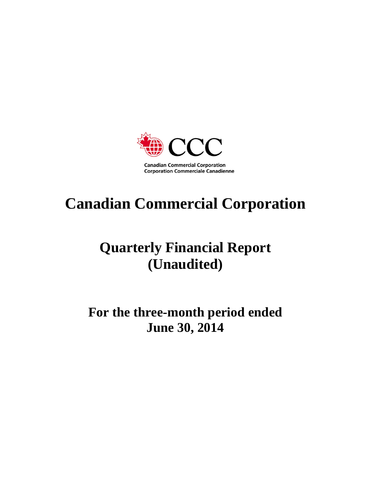

# **Canadian Commercial Corporation**

## **Quarterly Financial Report (Unaudited)**

## **For the three-month period ended June 30, 2014**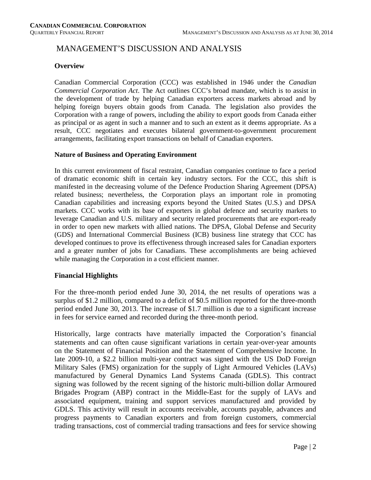#### MANAGEMENT'S DISCUSSION AND ANALYSIS

#### **Overview**

Canadian Commercial Corporation (CCC) was established in 1946 under the *Canadian Commercial Corporation Act*. The Act outlines CCC's broad mandate, which is to assist in the development of trade by helping Canadian exporters access markets abroad and by helping foreign buyers obtain goods from Canada. The legislation also provides the Corporation with a range of powers, including the ability to export goods from Canada either as principal or as agent in such a manner and to such an extent as it deems appropriate. As a result, CCC negotiates and executes bilateral government-to-government procurement arrangements, facilitating export transactions on behalf of Canadian exporters.

#### **Nature of Business and Operating Environment**

In this current environment of fiscal restraint, Canadian companies continue to face a period of dramatic economic shift in certain key industry sectors. For the CCC, this shift is manifested in the decreasing volume of the Defence Production Sharing Agreement (DPSA) related business; nevertheless, the Corporation plays an important role in promoting Canadian capabilities and increasing exports beyond the United States (U.S.) and DPSA markets. CCC works with its base of exporters in global defence and security markets to leverage Canadian and U.S. military and security related procurements that are export-ready in order to open new markets with allied nations. The DPSA, Global Defense and Security (GDS) and International Commercial Business (ICB) business line strategy that CCC has developed continues to prove its effectiveness through increased sales for Canadian exporters and a greater number of jobs for Canadians. These accomplishments are being achieved while managing the Corporation in a cost efficient manner.

#### **Financial Highlights**

For the three-month period ended June 30, 2014, the net results of operations was a surplus of \$1.2 million, compared to a deficit of \$0.5 million reported for the three-month period ended June 30, 2013. The increase of \$1.7 million is due to a significant increase in fees for service earned and recorded during the three-month period.

Historically, large contracts have materially impacted the Corporation's financial statements and can often cause significant variations in certain year-over-year amounts on the Statement of Financial Position and the Statement of Comprehensive Income. In late 2009-10, a \$2.2 billion multi-year contract was signed with the US DoD Foreign Military Sales (FMS) organization for the supply of Light Armoured Vehicles (LAVs) manufactured by General Dynamics Land Systems Canada (GDLS). This contract signing was followed by the recent signing of the historic multi-billion dollar Armoured Brigades Program (ABP) contract in the Middle-East for the supply of LAVs and associated equipment, training and support services manufactured and provided by GDLS. This activity will result in accounts receivable, accounts payable, advances and progress payments to Canadian exporters and from foreign customers, commercial trading transactions, cost of commercial trading transactions and fees for service showing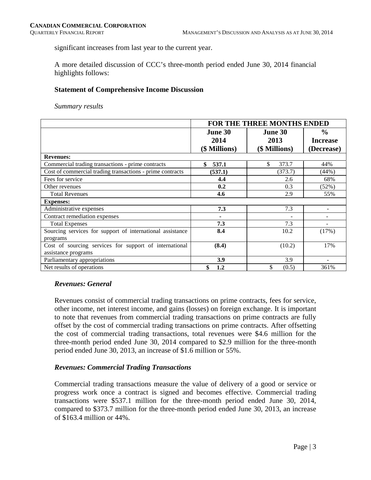significant increases from last year to the current year.

A more detailed discussion of CCC's three-month period ended June 30, 2014 financial highlights follows:

#### **Statement of Comprehensive Income Discussion**

*Summary results* 

|                                                           | FOR THE THREE MONTHS ENDED |                |                 |  |  |  |
|-----------------------------------------------------------|----------------------------|----------------|-----------------|--|--|--|
|                                                           | <b>June 30</b>             | <b>June 30</b> | $\frac{6}{9}$   |  |  |  |
|                                                           | 2014                       | 2013           | <b>Increase</b> |  |  |  |
|                                                           | (\$ Millions)              | (\$ Millions)  | (Decrease)      |  |  |  |
| <b>Revenues:</b>                                          |                            |                |                 |  |  |  |
| Commercial trading transactions - prime contracts         | \$<br>537.1                | \$<br>373.7    | 44%             |  |  |  |
| Cost of commercial trading transactions - prime contracts | (537.1)                    | (373.7)        | (44%)           |  |  |  |
| Fees for service                                          | 4.4                        | 2.6            | 68%             |  |  |  |
| Other revenues                                            | 0.2                        | 0.3            | (52%)           |  |  |  |
| <b>Total Revenues</b>                                     | 4.6                        | 2.9            | 55%             |  |  |  |
| <b>Expenses:</b>                                          |                            |                |                 |  |  |  |
| Administrative expenses                                   | 7.3                        | 7.3            |                 |  |  |  |
| Contract remediation expenses                             | ۰                          |                |                 |  |  |  |
| <b>Total Expenses</b>                                     | 7.3                        | 7.3            |                 |  |  |  |
| Sourcing services for support of international assistance | 8.4                        | 10.2           | (17%)           |  |  |  |
| programs                                                  |                            |                |                 |  |  |  |
| Cost of sourcing services for support of international    | (8.4)                      | (10.2)         | 17%             |  |  |  |
| assistance programs                                       |                            |                |                 |  |  |  |
| Parliamentary appropriations                              | 3.9                        | 3.9            |                 |  |  |  |
| Net results of operations                                 | \$<br>1.2                  | \$<br>(0.5)    | 361%            |  |  |  |

#### *Revenues: General*

Revenues consist of commercial trading transactions on prime contracts, fees for service, other income, net interest income, and gains (losses) on foreign exchange. It is important to note that revenues from commercial trading transactions on prime contracts are fully offset by the cost of commercial trading transactions on prime contracts. After offsetting the cost of commercial trading transactions, total revenues were \$4.6 million for the three-month period ended June 30, 2014 compared to \$2.9 million for the three-month period ended June 30, 2013, an increase of \$1.6 million or 55%.

#### *Revenues: Commercial Trading Transactions*

Commercial trading transactions measure the value of delivery of a good or service or progress work once a contract is signed and becomes effective. Commercial trading transactions were \$537.1 million for the three-month period ended June 30, 2014, compared to \$373.7 million for the three-month period ended June 30, 2013, an increase of \$163.4 million or 44%.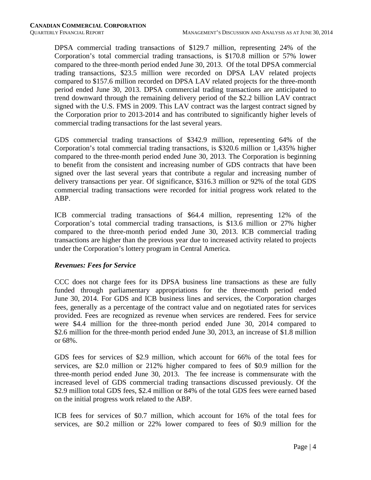DPSA commercial trading transactions of \$129.7 million, representing 24% of the Corporation's total commercial trading transactions, is \$170.8 million or 57% lower compared to the three-month period ended June 30, 2013. Of the total DPSA commercial trading transactions, \$23.5 million were recorded on DPSA LAV related projects compared to \$157.6 million recorded on DPSA LAV related projects for the three-month period ended June 30, 2013. DPSA commercial trading transactions are anticipated to trend downward through the remaining delivery period of the \$2.2 billion LAV contract signed with the U.S. FMS in 2009. This LAV contract was the largest contract signed by the Corporation prior to 2013-2014 and has contributed to significantly higher levels of commercial trading transactions for the last several years.

GDS commercial trading transactions of \$342.9 million, representing 64% of the Corporation's total commercial trading transactions, is \$320.6 million or 1,435% higher compared to the three-month period ended June 30, 2013. The Corporation is beginning to benefit from the consistent and increasing number of GDS contracts that have been signed over the last several years that contribute a regular and increasing number of delivery transactions per year. Of significance, \$316.3 million or 92% of the total GDS commercial trading transactions were recorded for initial progress work related to the ABP.

ICB commercial trading transactions of \$64.4 million, representing 12% of the Corporation's total commercial trading transactions, is \$13.6 million or 27% higher compared to the three-month period ended June 30, 2013. ICB commercial trading transactions are higher than the previous year due to increased activity related to projects under the Corporation's lottery program in Central America.

#### *Revenues: Fees for Service*

CCC does not charge fees for its DPSA business line transactions as these are fully funded through parliamentary appropriations for the three-month period ended June 30, 2014. For GDS and ICB business lines and services, the Corporation charges fees, generally as a percentage of the contract value and on negotiated rates for services provided. Fees are recognized as revenue when services are rendered. Fees for service were \$4.4 million for the three-month period ended June 30, 2014 compared to \$2.6 million for the three-month period ended June 30, 2013, an increase of \$1.8 million or 68%.

GDS fees for services of \$2.9 million, which account for 66% of the total fees for services, are \$2.0 million or 212% higher compared to fees of \$0.9 million for the three-month period ended June 30, 2013. The fee increase is commensurate with the increased level of GDS commercial trading transactions discussed previously. Of the \$2.9 million total GDS fees, \$2.4 million or 84% of the total GDS fees were earned based on the initial progress work related to the ABP.

ICB fees for services of \$0.7 million, which account for 16% of the total fees for services, are \$0.2 million or 22% lower compared to fees of \$0.9 million for the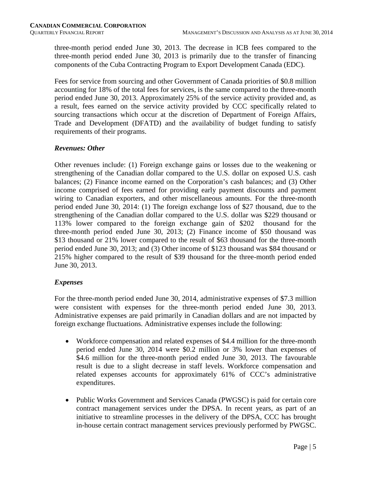three-month period ended June 30, 2013. The decrease in ICB fees compared to the three-month period ended June 30, 2013 is primarily due to the transfer of financing components of the Cuba Contracting Program to Export Development Canada (EDC).

Fees for service from sourcing and other Government of Canada priorities of \$0.8 million accounting for 18% of the total fees for services, is the same compared to the three-month period ended June 30, 2013. Approximately 25% of the service activity provided and, as a result, fees earned on the service activity provided by CCC specifically related to sourcing transactions which occur at the discretion of Department of Foreign Affairs, Trade and Development (DFATD) and the availability of budget funding to satisfy requirements of their programs.

#### *Revenues: Other*

Other revenues include: (1) Foreign exchange gains or losses due to the weakening or strengthening of the Canadian dollar compared to the U.S. dollar on exposed U.S. cash balances; (2) Finance income earned on the Corporation's cash balances; and (3) Other income comprised of fees earned for providing early payment discounts and payment wiring to Canadian exporters, and other miscellaneous amounts. For the three-month period ended June 30, 2014: (1) The foreign exchange loss of \$27 thousand, due to the strengthening of the Canadian dollar compared to the U.S. dollar was \$229 thousand or 113% lower compared to the foreign exchange gain of \$202 thousand for the three-month period ended June 30, 2013; (2) Finance income of \$50 thousand was \$13 thousand or 21% lower compared to the result of \$63 thousand for the three-month period ended June 30, 2013; and (3) Other income of \$123 thousand was \$84 thousand or 215% higher compared to the result of \$39 thousand for the three-month period ended June 30, 2013.

#### *Expenses*

For the three-month period ended June 30, 2014, administrative expenses of \$7.3 million were consistent with expenses for the three-month period ended June 30, 2013. Administrative expenses are paid primarily in Canadian dollars and are not impacted by foreign exchange fluctuations. Administrative expenses include the following:

- Workforce compensation and related expenses of \$4.4 million for the three-month period ended June 30, 2014 were \$0.2 million or 3% lower than expenses of \$4.6 million for the three-month period ended June 30, 2013. The favourable result is due to a slight decrease in staff levels. Workforce compensation and related expenses accounts for approximately 61% of CCC's administrative expenditures.
- Public Works Government and Services Canada (PWGSC) is paid for certain core contract management services under the DPSA. In recent years, as part of an initiative to streamline processes in the delivery of the DPSA, CCC has brought in-house certain contract management services previously performed by PWGSC.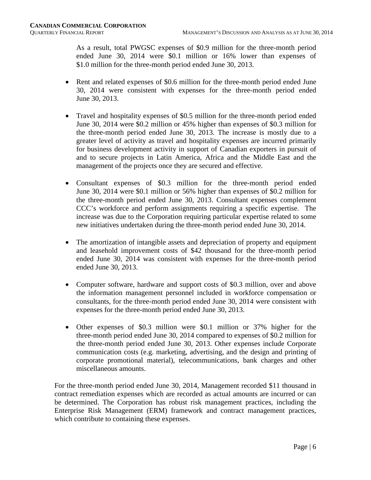As a result, total PWGSC expenses of \$0.9 million for the three-month period ended June 30, 2014 were \$0.1 million or 16% lower than expenses of \$1.0 million for the three-month period ended June 30, 2013.

- Rent and related expenses of \$0.6 million for the three-month period ended June 30, 2014 were consistent with expenses for the three-month period ended June 30, 2013.
- Travel and hospitality expenses of \$0.5 million for the three-month period ended June 30, 2014 were \$0.2 million or 45% higher than expenses of \$0.3 million for the three-month period ended June 30, 2013. The increase is mostly due to a greater level of activity as travel and hospitality expenses are incurred primarily for business development activity in support of Canadian exporters in pursuit of and to secure projects in Latin America, Africa and the Middle East and the management of the projects once they are secured and effective.
- Consultant expenses of \$0.3 million for the three-month period ended June 30, 2014 were \$0.1 million or 56% higher than expenses of \$0.2 million for the three-month period ended June 30, 2013. Consultant expenses complement CCC's workforce and perform assignments requiring a specific expertise. The increase was due to the Corporation requiring particular expertise related to some new initiatives undertaken during the three-month period ended June 30, 2014.
- The amortization of intangible assets and depreciation of property and equipment and leasehold improvement costs of \$42 thousand for the three-month period ended June 30, 2014 was consistent with expenses for the three-month period ended June 30, 2013.
- Computer software, hardware and support costs of \$0.3 million, over and above the information management personnel included in workforce compensation or consultants, for the three-month period ended June 30, 2014 were consistent with expenses for the three-month period ended June 30, 2013.
- Other expenses of \$0.3 million were \$0.1 million or 37% higher for the three-month period ended June 30, 2014 compared to expenses of \$0.2 million for the three-month period ended June 30, 2013. Other expenses include Corporate communication costs (e.g. marketing, advertising, and the design and printing of corporate promotional material), telecommunications, bank charges and other miscellaneous amounts.

For the three-month period ended June 30, 2014, Management recorded \$11 thousand in contract remediation expenses which are recorded as actual amounts are incurred or can be determined. The Corporation has robust risk management practices, including the Enterprise Risk Management (ERM) framework and contract management practices, which contribute to containing these expenses.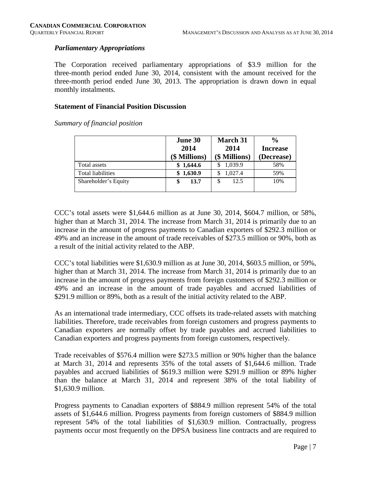#### *Parliamentary Appropriations*

The Corporation received parliamentary appropriations of \$3.9 million for the three-month period ended June 30, 2014, consistent with the amount received for the three-month period ended June 30, 2013. The appropriation is drawn down in equal monthly instalments.

#### **Statement of Financial Position Discussion**

*Summary of financial position*

|                          | <b>June 30</b> | <b>March 31</b> | $\frac{0}{0}$   |
|--------------------------|----------------|-----------------|-----------------|
|                          | 2014           | 2014            | <b>Increase</b> |
|                          | (\$ Millions)  | (\$ Millions)   | (Decrease)      |
| Total assets             | \$1,644.6      | 1,039.9         | 58%             |
| <b>Total liabilities</b> | \$1,630.9      | 1,027.4         | 59%             |
| Shareholder's Equity     | 13.7           | 12.5<br>\$      | 10%             |
|                          |                |                 |                 |

CCC's total assets were  $$1,644.6$  million as at June 30, 2014,  $$604.7$  million, or  $58\%$ , higher than at March 31, 2014. The increase from March 31, 2014 is primarily due to an increase in the amount of progress payments to Canadian exporters of \$292.3 million or 49% and an increase in the amount of trade receivables of \$273.5 million or 90%, both as a result of the initial activity related to the ABP.

CCC's total liabilities were \$1,630.9 million as at June 30, 2014, \$603.5 million, or 59%, higher than at March 31, 2014. The increase from March 31, 2014 is primarily due to an increase in the amount of progress payments from foreign customers of \$292.3 million or 49% and an increase in the amount of trade payables and accrued liabilities of \$291.9 million or 89%, both as a result of the initial activity related to the ABP.

As an international trade intermediary, CCC offsets its trade-related assets with matching liabilities. Therefore, trade receivables from foreign customers and progress payments to Canadian exporters are normally offset by trade payables and accrued liabilities to Canadian exporters and progress payments from foreign customers, respectively.

Trade receivables of \$576.4 million were \$273.5 million or 90% higher than the balance at March 31, 2014 and represents 35% of the total assets of \$1,644.6 million. Trade payables and accrued liabilities of \$619.3 million were \$291.9 million or 89% higher than the balance at March 31, 2014 and represent 38% of the total liability of \$1,630.9 million.

Progress payments to Canadian exporters of \$884.9 million represent 54% of the total assets of \$1,644.6 million. Progress payments from foreign customers of \$884.9 million represent 54% of the total liabilities of \$1,630.9 million. Contractually, progress payments occur most frequently on the DPSA business line contracts and are required to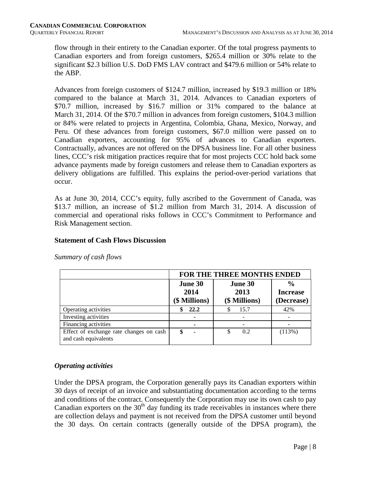flow through in their entirety to the Canadian exporter. Of the total progress payments to Canadian exporters and from foreign customers, \$265.4 million or 30% relate to the significant \$2.3 billion U.S. DoD FMS LAV contract and \$479.6 million or 54% relate to the ABP.

Advances from foreign customers of \$124.7 million, increased by \$19.3 million or 18% compared to the balance at March 31, 2014. Advances to Canadian exporters of \$70.7 million, increased by \$16.7 million or 31% compared to the balance at March 31, 2014. Of the \$70.7 million in advances from foreign customers, \$104.3 million or 84% were related to projects in Argentina, Colombia, Ghana, Mexico, Norway, and Peru. Of these advances from foreign customers, \$67.0 million were passed on to Canadian exporters, accounting for 95% of advances to Canadian exporters. Contractually, advances are not offered on the DPSA business line. For all other business lines, CCC's risk mitigation practices require that for most projects CCC hold back some advance payments made by foreign customers and release them to Canadian exporters as delivery obligations are fulfilled. This explains the period-over-period variations that occur.

As at June 30, 2014, CCC's equity, fully ascribed to the Government of Canada, was \$13.7 million, an increase of \$1.2 million from March 31, 2014. A discussion of commercial and operational risks follows in CCC's Commitment to Performance and Risk Management section.

#### **Statement of Cash Flows Discussion**

|                                                                 | <b>FOR THE THREE MONTHS ENDED</b> |                                  |                                                |  |  |  |  |  |
|-----------------------------------------------------------------|-----------------------------------|----------------------------------|------------------------------------------------|--|--|--|--|--|
|                                                                 | June 30<br>2014<br>(\$ Millions)  | June 30<br>2013<br>(\$ Millions) | $\frac{0}{0}$<br><b>Increase</b><br>(Decrease) |  |  |  |  |  |
| Operating activities                                            | 22.2                              | 15.7                             | 42%                                            |  |  |  |  |  |
| Investing activities                                            |                                   |                                  |                                                |  |  |  |  |  |
| Financing activities                                            | ۰                                 |                                  |                                                |  |  |  |  |  |
| Effect of exchange rate changes on cash<br>and cash equivalents | \$<br>۰                           | 0.2<br>\$                        | (113%)                                         |  |  |  |  |  |

*Summary of cash flows* 

#### *Operating activities*

Under the DPSA program, the Corporation generally pays its Canadian exporters within 30 days of receipt of an invoice and substantiating documentation according to the terms and conditions of the contract. Consequently the Corporation may use its own cash to pay Canadian exporters on the  $30<sup>th</sup>$  day funding its trade receivables in instances where there are collection delays and payment is not received from the DPSA customer until beyond the 30 days. On certain contracts (generally outside of the DPSA program), the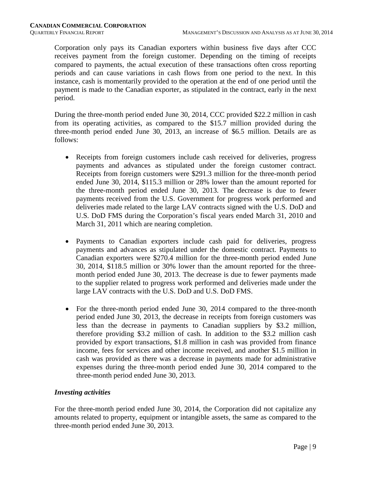Corporation only pays its Canadian exporters within business five days after CCC receives payment from the foreign customer. Depending on the timing of receipts compared to payments, the actual execution of these transactions often cross reporting periods and can cause variations in cash flows from one period to the next. In this instance, cash is momentarily provided to the operation at the end of one period until the payment is made to the Canadian exporter, as stipulated in the contract, early in the next period.

During the three-month period ended June 30, 2014, CCC provided \$22.2 million in cash from its operating activities, as compared to the \$15.7 million provided during the three-month period ended June 30, 2013, an increase of \$6.5 million. Details are as follows:

- Receipts from foreign customers include cash received for deliveries, progress payments and advances as stipulated under the foreign customer contract. Receipts from foreign customers were \$291.3 million for the three-month period ended June 30, 2014, \$115.3 million or 28% lower than the amount reported for the three-month period ended June 30, 2013. The decrease is due to fewer payments received from the U.S. Government for progress work performed and deliveries made related to the large LAV contracts signed with the U.S. DoD and U.S. DoD FMS during the Corporation's fiscal years ended March 31, 2010 and March 31, 2011 which are nearing completion.
- Payments to Canadian exporters include cash paid for deliveries, progress payments and advances as stipulated under the domestic contract. Payments to Canadian exporters were \$270.4 million for the three-month period ended June 30, 2014, \$118.5 million or 30% lower than the amount reported for the threemonth period ended June 30, 2013. The decrease is due to fewer payments made to the supplier related to progress work performed and deliveries made under the large LAV contracts with the U.S. DoD and U.S. DoD FMS.
- For the three-month period ended June 30, 2014 compared to the three-month period ended June 30, 2013, the decrease in receipts from foreign customers was less than the decrease in payments to Canadian suppliers by \$3.2 million, therefore providing \$3.2 million of cash. In addition to the \$3.2 million cash provided by export transactions, \$1.8 million in cash was provided from finance income, fees for services and other income received, and another \$1.5 million in cash was provided as there was a decrease in payments made for administrative expenses during the three-month period ended June 30, 2014 compared to the three-month period ended June 30, 2013.

#### *Investing activities*

For the three-month period ended June 30, 2014, the Corporation did not capitalize any amounts related to property, equipment or intangible assets, the same as compared to the three-month period ended June 30, 2013.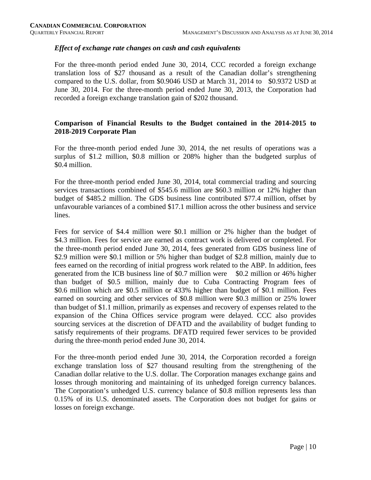#### *Effect of exchange rate changes on cash and cash equivalents*

For the three-month period ended June 30, 2014, CCC recorded a foreign exchange translation loss of \$27 thousand as a result of the Canadian dollar's strengthening compared to the U.S. dollar, from \$0.9046 USD at March 31, 2014 to \$0.9372 USD at June 30, 2014. For the three-month period ended June 30, 2013, the Corporation had recorded a foreign exchange translation gain of \$202 thousand.

#### **Comparison of Financial Results to the Budget contained in the 2014-2015 to 2018-2019 Corporate Plan**

For the three-month period ended June 30, 2014, the net results of operations was a surplus of \$1.2 million, \$0.8 million or 208% higher than the budgeted surplus of \$0.4 million.

For the three-month period ended June 30, 2014, total commercial trading and sourcing services transactions combined of \$545.6 million are \$60.3 million or 12% higher than budget of \$485.2 million. The GDS business line contributed \$77.4 million, offset by unfavourable variances of a combined \$17.1 million across the other business and service lines.

Fees for service of \$4.4 million were \$0.1 million or 2% higher than the budget of \$4.3 million. Fees for service are earned as contract work is delivered or completed. For the three-month period ended June 30, 2014, fees generated from GDS business line of \$2.9 million were \$0.1 million or 5% higher than budget of \$2.8 million, mainly due to fees earned on the recording of initial progress work related to the ABP. In addition, fees generated from the ICB business line of \$0.7 million were \$0.2 million or 46% higher than budget of \$0.5 million, mainly due to Cuba Contracting Program fees of \$0.6 million which are \$0.5 million or 433% higher than budget of \$0.1 million. Fees earned on sourcing and other services of \$0.8 million were \$0.3 million or 25% lower than budget of \$1.1 million, primarily as expenses and recovery of expenses related to the expansion of the China Offices service program were delayed. CCC also provides sourcing services at the discretion of DFATD and the availability of budget funding to satisfy requirements of their programs. DFATD required fewer services to be provided during the three-month period ended June 30, 2014.

For the three-month period ended June 30, 2014, the Corporation recorded a foreign exchange translation loss of \$27 thousand resulting from the strengthening of the Canadian dollar relative to the U.S. dollar. The Corporation manages exchange gains and losses through monitoring and maintaining of its unhedged foreign currency balances. The Corporation's unhedged U.S. currency balance of \$0.8 million represents less than 0.15% of its U.S. denominated assets. The Corporation does not budget for gains or losses on foreign exchange.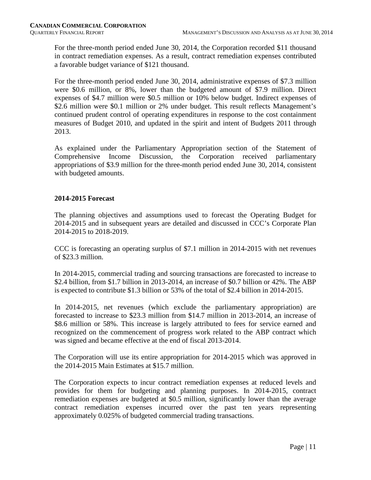For the three-month period ended June 30, 2014, the Corporation recorded \$11 thousand in contract remediation expenses. As a result, contract remediation expenses contributed a favorable budget variance of \$121 thousand.

For the three-month period ended June 30, 2014, administrative expenses of \$7.3 million were \$0.6 million, or 8%, lower than the budgeted amount of \$7.9 million. Direct expenses of \$4.7 million were \$0.5 million or 10% below budget. Indirect expenses of \$2.6 million were \$0.1 million or 2% under budget. This result reflects Management's continued prudent control of operating expenditures in response to the cost containment measures of Budget 2010, and updated in the spirit and intent of Budgets 2011 through 2013.

As explained under the Parliamentary Appropriation section of the Statement of Comprehensive Income Discussion, the Corporation received parliamentary appropriations of \$3.9 million for the three-month period ended June 30, 2014, consistent with budgeted amounts.

#### **2014-2015 Forecast**

The planning objectives and assumptions used to forecast the Operating Budget for 2014-2015 and in subsequent years are detailed and discussed in CCC's Corporate Plan 2014-2015 to 2018-2019.

CCC is forecasting an operating surplus of \$7.1 million in 2014-2015 with net revenues of \$23.3 million.

In 2014-2015, commercial trading and sourcing transactions are forecasted to increase to \$2.4 billion, from \$1.7 billion in 2013-2014, an increase of \$0.7 billion or 42%. The ABP is expected to contribute \$1.3 billion or 53% of the total of \$2.4 billion in 2014-2015.

In 2014-2015, net revenues (which exclude the parliamentary appropriation) are forecasted to increase to \$23.3 million from \$14.7 million in 2013-2014, an increase of \$8.6 million or 58%. This increase is largely attributed to fees for service earned and recognized on the commencement of progress work related to the ABP contract which was signed and became effective at the end of fiscal 2013-2014.

The Corporation will use its entire appropriation for 2014-2015 which was approved in the 2014-2015 Main Estimates at \$15.7 million.

The Corporation expects to incur contract remediation expenses at reduced levels and provides for them for budgeting and planning purposes. In 2014-2015, contract remediation expenses are budgeted at \$0.5 million, significantly lower than the average contract remediation expenses incurred over the past ten years representing approximately 0.025% of budgeted commercial trading transactions.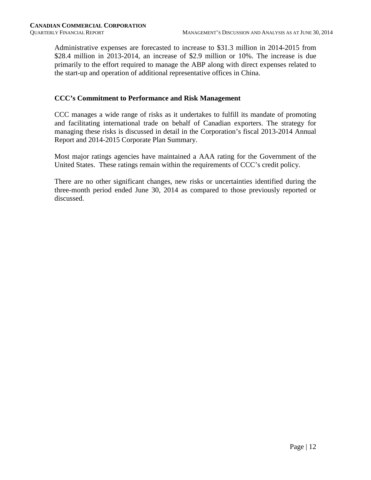Administrative expenses are forecasted to increase to \$31.3 million in 2014-2015 from \$28.4 million in 2013-2014, an increase of \$2.9 million or 10%. The increase is due primarily to the effort required to manage the ABP along with direct expenses related to the start-up and operation of additional representative offices in China.

#### **CCC's Commitment to Performance and Risk Management**

CCC manages a wide range of risks as it undertakes to fulfill its mandate of promoting and facilitating international trade on behalf of Canadian exporters. The strategy for managing these risks is discussed in detail in the Corporation's fiscal 2013-2014 Annual Report and 2014-2015 Corporate Plan Summary.

Most major ratings agencies have maintained a AAA rating for the Government of the United States. These ratings remain within the requirements of CCC's credit policy.

There are no other significant changes, new risks or uncertainties identified during the three-month period ended June 30, 2014 as compared to those previously reported or discussed.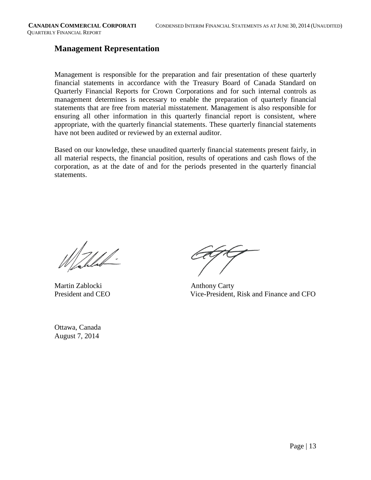#### **Management Representation**

Management is responsible for the preparation and fair presentation of these quarterly financial statements in accordance with the Treasury Board of Canada Standard on Quarterly Financial Reports for Crown Corporations and for such internal controls as management determines is necessary to enable the preparation of quarterly financial statements that are free from material misstatement. Management is also responsible for ensuring all other information in this quarterly financial report is consistent, where appropriate, with the quarterly financial statements. These quarterly financial statements have not been audited or reviewed by an external auditor.

Based on our knowledge, these unaudited quarterly financial statements present fairly, in all material respects, the financial position, results of operations and cash flows of the corporation, as at the date of and for the periods presented in the quarterly financial statements.

17/1/.

Martin Zablocki Anthony Carty

Ottawa, Canada August 7, 2014

President and CEO Vice-President, Risk and Finance and CFO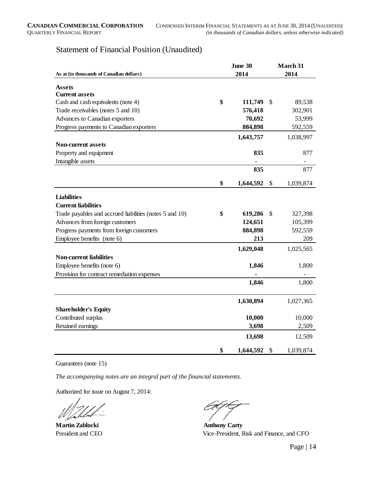#### Statement of Financial Position (Unaudited)

|                                                         |    | June 30   | March 31 |           |  |  |
|---------------------------------------------------------|----|-----------|----------|-----------|--|--|
| As at (in thousands of Canadian dollars)                |    | 2014      |          | 2014      |  |  |
| <b>Assets</b>                                           |    |           |          |           |  |  |
| <b>Current assets</b>                                   |    |           |          |           |  |  |
| Cash and cash equivalents (note 4)                      | \$ | 111,749   | \$       | 89,538    |  |  |
| Trade receivables (notes 5 and 10)                      |    | 576,418   |          | 302,901   |  |  |
| Advances to Canadian exporters                          |    | 70,692    |          | 53,999    |  |  |
| Progress payments to Canadian exporters                 |    | 884,898   |          | 592,559   |  |  |
|                                                         |    | 1,643,757 |          | 1,038,997 |  |  |
| <b>Non-current assets</b>                               |    |           |          |           |  |  |
| Property and equipment                                  |    | 835       |          | 877       |  |  |
| Intangible assets                                       |    |           |          | -         |  |  |
|                                                         |    | 835       |          | 877       |  |  |
|                                                         | \$ | 1,644,592 | \$       | 1,039,874 |  |  |
| <b>Liabilities</b>                                      |    |           |          |           |  |  |
| <b>Current liabilities</b>                              |    |           |          |           |  |  |
| Trade payables and accrued liabilities (notes 5 and 10) | \$ | 619,286   | \$       | 327,398   |  |  |
| Advances from foreign customers                         |    | 124,651   |          | 105,399   |  |  |
| Progress payments from foreign customers                |    | 884,898   |          | 592,559   |  |  |
| Employee benefits (note 6)                              |    | 213       |          | 209       |  |  |
|                                                         |    | 1,629,048 |          | 1,025,565 |  |  |
| <b>Non-current liabilities</b>                          |    |           |          |           |  |  |
| Employee benefits (note 6)                              |    | 1,846     |          | 1,800     |  |  |
| Provision for contract remediation expenses             |    |           |          |           |  |  |
|                                                         |    | 1,846     |          | 1,800     |  |  |
|                                                         |    | 1,630,894 |          | 1,027,365 |  |  |
| <b>Shareholder's Equity</b>                             |    |           |          |           |  |  |
| Contributed surplus                                     |    | 10,000    |          | 10,000    |  |  |
| Retained earnings                                       |    | 3,698     |          | 2,509     |  |  |
|                                                         |    | 13,698    |          | 12,509    |  |  |
|                                                         | \$ | 1,644,592 | \$       | 1,039,874 |  |  |

Guarantees (note 15)

*The accompanying notes are an integral part of the financial statements.*

Authorized for issue on August 7, 2014:

**Martin Zablocki Anthony Carty** 

President and CEO Vice-President, Risk and Finance, and CFO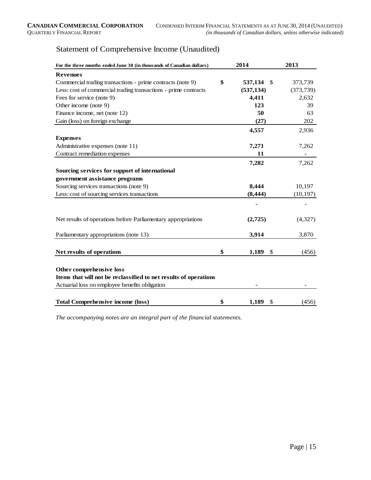| For the three months ended June 30 (in thousands of Canadian dollars) |    | 2014                   | 2013       |  |
|-----------------------------------------------------------------------|----|------------------------|------------|--|
| <b>Revenues</b>                                                       |    |                        |            |  |
| Commercial trading transactions - prime contracts (note 9)            | \$ | 537,134<br>- \$        | 373,739    |  |
| Less: cost of commercial trading transactions - prime contracts       |    | (537, 134)             | (373, 739) |  |
| Fees for service (note 9)                                             |    | 4,411                  | 2,632      |  |
| Other income (note 9)                                                 |    | 123                    | 39         |  |
| Finance income, net (note 12)                                         |    | 50                     | 63         |  |
| Gain (loss) on foreign exchange                                       |    | (27)                   | 202        |  |
|                                                                       |    | 4,557                  | 2,936      |  |
| <b>Expenses</b>                                                       |    |                        |            |  |
| Administrative expenses (note 11)                                     |    | 7,271                  | 7,262      |  |
| Contract remediation expenses                                         |    | 11                     |            |  |
|                                                                       |    | 7,282                  | 7,262      |  |
| Sourcing services for support of international                        |    |                        |            |  |
| government assistance programs                                        |    |                        |            |  |
| Sourcing services transactions (note 9)                               |    | 8,444                  | 10,197     |  |
| Less: cost of sourcing services transactions                          |    | (8, 444)               | (10, 197)  |  |
|                                                                       |    |                        |            |  |
|                                                                       |    |                        |            |  |
| Net results of operations before Parliamentary appropriations         |    | (2,725)                | (4,327)    |  |
|                                                                       |    |                        |            |  |
| Parliamentary appropriations (note 13)                                |    | 3,914                  | 3,870      |  |
|                                                                       |    |                        |            |  |
| Net results of operations                                             | \$ | 1,189<br>\$            | (456)      |  |
|                                                                       |    |                        |            |  |
| Other comprehensive loss                                              |    |                        |            |  |
| Items that will not be reclassified to net results of operations      |    |                        |            |  |
| Actuarial loss on employee benefits obligation                        |    |                        |            |  |
|                                                                       |    |                        |            |  |
| <b>Total Comprehensive income (loss)</b>                              | \$ | 1,189<br>$\mathcal{S}$ | (456)      |  |

*The accompanying notes are an integral part of the financial statements.*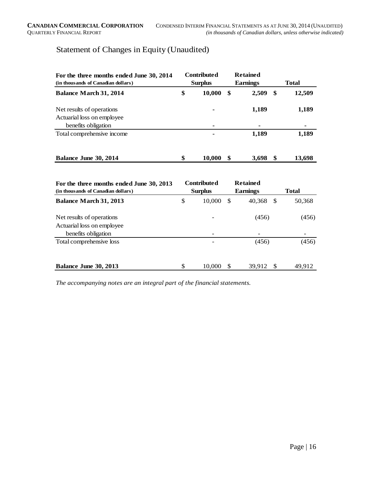## Statement of Changes in Equity (Unaudited)

| For the three months ended June 30, 2014<br>(in thousands of Canadian dollars) | <b>Contributed</b><br><b>Surplus</b> |        |    |       |              | <b>Retained</b><br><b>Earnings</b> | <b>Total</b> |  |  |
|--------------------------------------------------------------------------------|--------------------------------------|--------|----|-------|--------------|------------------------------------|--------------|--|--|
| <b>Balance March 31, 2014</b>                                                  | \$                                   | 10,000 | \$ | 2,509 | \$<br>12,509 |                                    |              |  |  |
| Net results of operations<br>Actuarial loss on employee                        |                                      | ۰      |    | 1,189 | 1,189        |                                    |              |  |  |
| benefits obligation                                                            |                                      | ۰      |    | ٠     |              |                                    |              |  |  |
| Total comprehensive income                                                     |                                      | -      |    | 1,189 | 1,189        |                                    |              |  |  |
| Balance June 30, 2014                                                          | \$                                   | 10,000 | \$ | 3,698 | 13,698       |                                    |              |  |  |

| For the three months ended June 30, 2013<br>(in thousands of Canadian dollars) | <b>Contributed</b><br><b>Retained</b><br><b>Surplus</b><br>Earnings |          |        | <b>Total</b> |        |  |  |
|--------------------------------------------------------------------------------|---------------------------------------------------------------------|----------|--------|--------------|--------|--|--|
| <b>Balance March 31, 2013</b>                                                  | \$<br>10,000                                                        | S        | 40,368 | S            | 50,368 |  |  |
| Net results of operations<br>Actuarial loss on employee<br>benefits obligation |                                                                     |          | (456)  |              | (456)  |  |  |
| Total comprehensive loss                                                       |                                                                     |          | (456)  |              | (456)  |  |  |
| Balance June 30, 2013                                                          | \$<br>10,000                                                        | <b>S</b> | 39,912 | -S           | 49.912 |  |  |

*The accompanying notes are an integral part of the financial statements.*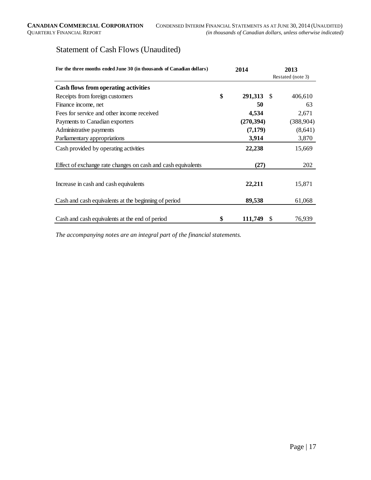## Statement of Cash Flows (Unaudited)

| For the three months ended June 30 (in thousands of Canadian dollars) |    | 2014       | 2013 |                   |  |
|-----------------------------------------------------------------------|----|------------|------|-------------------|--|
|                                                                       |    |            |      | Restated (note 3) |  |
| Cash flows from operating activities                                  |    |            |      |                   |  |
| Receipts from foreign customers                                       | \$ | 291,313    | - \$ | 406,610           |  |
| Finance income, net                                                   |    | 50         |      | 63                |  |
| Fees for service and other income received                            |    | 4,534      |      | 2,671             |  |
| Payments to Canadian exporters                                        |    | (270, 394) |      | (388, 904)        |  |
| Administrative payments                                               |    | (7,179)    |      | (8,641)           |  |
| Parliamentary appropriations                                          |    | 3,914      |      | 3,870             |  |
| Cash provided by operating activities                                 |    | 22,238     |      | 15,669            |  |
| Effect of exchange rate changes on cash and cash equivalents          |    | (27)       |      | 202               |  |
| Increase in cash and cash equivalents                                 |    | 22,211     |      | 15,871            |  |
| Cash and cash equivalents at the beginning of period                  |    | 89,538     |      | 61,068            |  |
| Cash and cash equivalents at the end of period                        | \$ | 111,749    | \$   | 76,939            |  |

*The accompanying notes are an integral part of the financial statements.*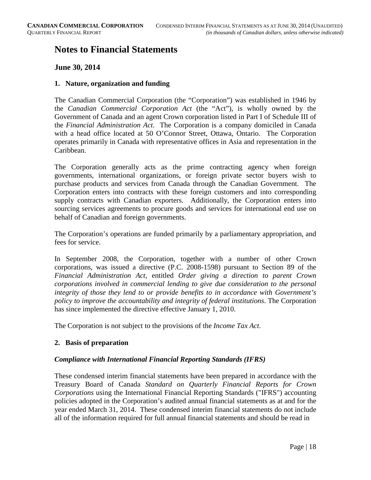### **Notes to Financial Statements**

#### **June 30, 2014**

#### **1. Nature, organization and funding**

The Canadian Commercial Corporation (the "Corporation") was established in 1946 by the *Canadian Commercial Corporation Act* (the "Act"), is wholly owned by the Government of Canada and an agent Crown corporation listed in Part I of Schedule III of the *Financial Administration Act*. The Corporation is a company domiciled in Canada with a head office located at 50 O'Connor Street, Ottawa, Ontario. The Corporation operates primarily in Canada with representative offices in Asia and representation in the Caribbean.

The Corporation generally acts as the prime contracting agency when foreign governments, international organizations, or foreign private sector buyers wish to purchase products and services from Canada through the Canadian Government. The Corporation enters into contracts with these foreign customers and into corresponding supply contracts with Canadian exporters. Additionally, the Corporation enters into sourcing services agreements to procure goods and services for international end use on behalf of Canadian and foreign governments.

The Corporation's operations are funded primarily by a parliamentary appropriation, and fees for service.

In September 2008, the Corporation, together with a number of other Crown corporations, was issued a directive (P.C. 2008-1598) pursuant to Section 89 of the *Financial Administration Act*, entitled *Order giving a direction to parent Crown corporations involved in commercial lending to give due consideration to the personal integrity of those they lend to or provide benefits to in accordance with Government's policy to improve the accountability and integrity of federal institutions*. The Corporation has since implemented the directive effective January 1, 2010.

The Corporation is not subject to the provisions of the *Income Tax Act*.

#### **2. Basis of preparation**

#### *Compliance with International Financial Reporting Standards (IFRS)*

These condensed interim financial statements have been prepared in accordance with the Treasury Board of Canada *Standard on Quarterly Financial Reports for Crown Corporations* using the International Financial Reporting Standards ("IFRS") accounting policies adopted in the Corporation's audited annual financial statements as at and for the year ended March 31, 2014. These condensed interim financial statements do not include all of the information required for full annual financial statements and should be read in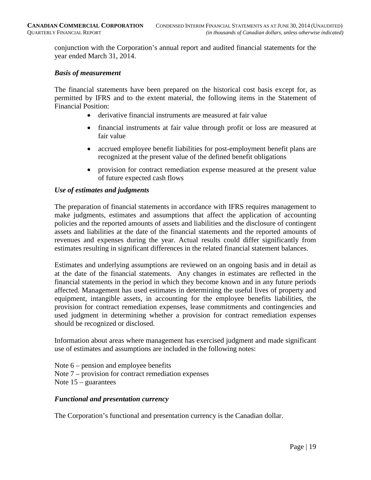conjunction with the Corporation's annual report and audited financial statements for the year ended March 31, 2014.

#### *Basis of measurement*

The financial statements have been prepared on the historical cost basis except for, as permitted by IFRS and to the extent material, the following items in the Statement of Financial Position:

- derivative financial instruments are measured at fair value
- financial instruments at fair value through profit or loss are measured at fair value
- accrued employee benefit liabilities for post-employment benefit plans are recognized at the present value of the defined benefit obligations
- provision for contract remediation expense measured at the present value of future expected cash flows

#### *Use of estimates and judgments*

The preparation of financial statements in accordance with IFRS requires management to make judgments, estimates and assumptions that affect the application of accounting policies and the reported amounts of assets and liabilities and the disclosure of contingent assets and liabilities at the date of the financial statements and the reported amounts of revenues and expenses during the year. Actual results could differ significantly from estimates resulting in significant differences in the related financial statement balances.

Estimates and underlying assumptions are reviewed on an ongoing basis and in detail as at the date of the financial statements. Any changes in estimates are reflected in the financial statements in the period in which they become known and in any future periods affected. Management has used estimates in determining the useful lives of property and equipment, intangible assets, in accounting for the employee benefits liabilities, the provision for contract remediation expenses, lease commitments and contingencies and used judgment in determining whether a provision for contract remediation expenses should be recognized or disclosed.

Information about areas where management has exercised judgment and made significant use of estimates and assumptions are included in the following notes:

Note  $6$  – pension and employee benefits Note 7 – provision for contract remediation expenses Note  $15$  – guarantees

#### *Functional and presentation currency*

The Corporation's functional and presentation currency is the Canadian dollar.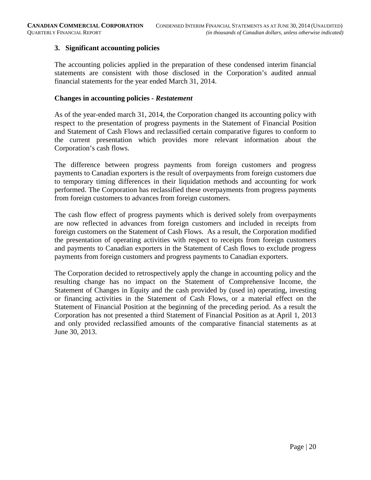#### **3. Significant accounting policies**

The accounting policies applied in the preparation of these condensed interim financial statements are consistent with those disclosed in the Corporation's audited annual financial statements for the year ended March 31, 2014.

#### **Changes in accounting policies -** *Restatement*

As of the year-ended march 31, 2014, the Corporation changed its accounting policy with respect to the presentation of progress payments in the Statement of Financial Position and Statement of Cash Flows and reclassified certain comparative figures to conform to the current presentation which provides more relevant information about the Corporation's cash flows.

The difference between progress payments from foreign customers and progress payments to Canadian exporters is the result of overpayments from foreign customers due to temporary timing differences in their liquidation methods and accounting for work performed. The Corporation has reclassified these overpayments from progress payments from foreign customers to advances from foreign customers.

The cash flow effect of progress payments which is derived solely from overpayments are now reflected in advances from foreign customers and included in receipts from foreign customers on the Statement of Cash Flows. As a result, the Corporation modified the presentation of operating activities with respect to receipts from foreign customers and payments to Canadian exporters in the Statement of Cash flows to exclude progress payments from foreign customers and progress payments to Canadian exporters.

The Corporation decided to retrospectively apply the change in accounting policy and the resulting change has no impact on the Statement of Comprehensive Income, the Statement of Changes in Equity and the cash provided by (used in) operating, investing or financing activities in the Statement of Cash Flows, or a material effect on the Statement of Financial Position at the beginning of the preceding period. As a result the Corporation has not presented a third Statement of Financial Position as at April 1, 2013 and only provided reclassified amounts of the comparative financial statements as at June 30, 2013.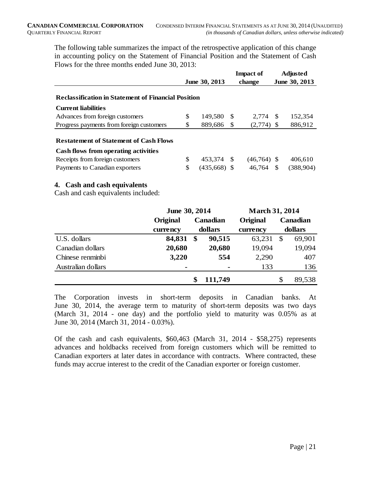The following table summarizes the impact of the retrospective application of this change in accounting policy on the Statement of Financial Position and the Statement of Cash Flows for the three months ended June 30, 2013:

|                                                            |               |                |              | <b>Impact of</b> | <b>Adjusted</b> |
|------------------------------------------------------------|---------------|----------------|--------------|------------------|-----------------|
|                                                            | June 30, 2013 |                |              | change           | June 30, 2013   |
|                                                            |               |                |              |                  |                 |
| <b>Reclassification in Statement of Financial Position</b> |               |                |              |                  |                 |
| <b>Current liabilities</b>                                 |               |                |              |                  |                 |
| Advances from foreign customers                            | \$            | 149.580        | -S           | 2.774 \$         | 152,354         |
| Progress payments from foreign customers                   | \$            | 889,686        | <sup>S</sup> | $(2,774)$ \$     | 886,912         |
| <b>Restatement of Statement of Cash Flows</b>              |               |                |              |                  |                 |
| Cash flows from operating activities                       |               |                |              |                  |                 |
| Receipts from foreign customers                            | \$            | 453.374 \$     |              | $(46,764)$ \$    | 406.610         |
| Payments to Canadian exporters                             | \$            | $(435,668)$ \$ |              | 46,764 \$        | (388, 904)      |

#### **4. Cash and cash equivalents**

Cash and cash equivalents included:

|                    | June 30, 2014 |    |                     | <b>March 31, 2014</b> |          |        |  |
|--------------------|---------------|----|---------------------|-----------------------|----------|--------|--|
|                    | Original      |    | Canadian            | Original              | Canadian |        |  |
|                    | currency      |    | dollars<br>currency |                       | dollars  |        |  |
| U.S. dollars       | 84,831        | \$ | 90,515              | 63,231                | \$       | 69,901 |  |
| Canadian dollars   | 20,680        |    | 20,680              | 19,094                |          | 19,094 |  |
| Chinese renminbi   | 3,220         |    | 554                 | 2,290                 |          | 407    |  |
| Australian dollars |               |    | -                   | 133                   |          | 136    |  |
|                    |               | \$ | 111,749             |                       | \$       | 89,538 |  |

The Corporation invests in short-term deposits in Canadian banks. At June 30, 2014, the average term to maturity of short-term deposits was two days (March 31, 2014 - one day) and the portfolio yield to maturity was 0.05% as at June 30, 2014 (March 31, 2014 - 0.03%).

Of the cash and cash equivalents, \$60,463 (March 31, 2014 - \$58,275) represents advances and holdbacks received from foreign customers which will be remitted to Canadian exporters at later dates in accordance with contracts. Where contracted, these funds may accrue interest to the credit of the Canadian exporter or foreign customer.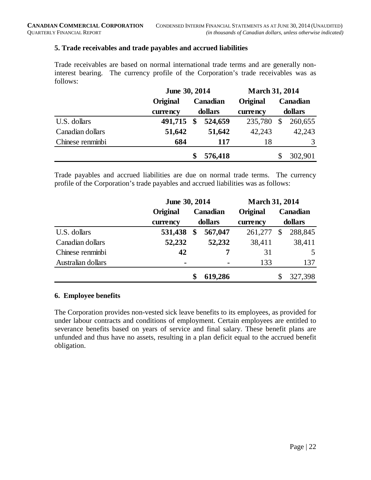#### **5. Trade receivables and trade payables and accrued liabilities**

Trade receivables are based on normal international trade terms and are generally noninterest bearing. The currency profile of the Corporation's trade receivables was as follows:

|                  | June 30, 2014                      |               |                 | <b>March 31, 2014</b> |         |         |  |
|------------------|------------------------------------|---------------|-----------------|-----------------------|---------|---------|--|
|                  | <b>Original</b><br><b>Canadian</b> |               | <b>Original</b> | Canadian              |         |         |  |
|                  | currency                           |               | dollars         | currency              | dollars |         |  |
| U.S. dollars     | 491,715                            | $\mathbf{\$}$ | 524,659         | 235,780               | \$      | 260,655 |  |
| Canadian dollars | 51,642                             |               | 51,642          | 42,243                |         | 42,243  |  |
| Chinese renminbi | 684                                |               | 117             | 18                    |         | 3       |  |
|                  |                                    | \$            | 576,418         |                       |         | 302,901 |  |

Trade payables and accrued liabilities are due on normal trade terms. The currency profile of the Corporation's trade payables and accrued liabilities was as follows:

|                    | June 30, 2014   |    |                 | <b>March 31, 2014</b> |    |                 |  |
|--------------------|-----------------|----|-----------------|-----------------------|----|-----------------|--|
|                    | <b>Original</b> |    | <b>Canadian</b> | Original              |    | <b>Canadian</b> |  |
|                    | currency        |    | dollars         | currency              |    | dollars         |  |
| U.S. dollars       | 531,438         | \$ | 567,047         | 261,277               | \$ | 288,845         |  |
| Canadian dollars   | 52,232          |    | 52,232          | 38,411                |    | 38,411          |  |
| Chinese renminbi   | 42              |    |                 | 31                    |    | 5               |  |
| Australian dollars | $\blacksquare$  |    | $\blacksquare$  | 133                   |    | 137             |  |
|                    |                 | \$ | 619,286         |                       |    | 327,398         |  |

#### **6. Employee benefits**

The Corporation provides non-vested sick leave benefits to its employees, as provided for under labour contracts and conditions of employment. Certain employees are entitled to severance benefits based on years of service and final salary. These benefit plans are unfunded and thus have no assets, resulting in a plan deficit equal to the accrued benefit obligation.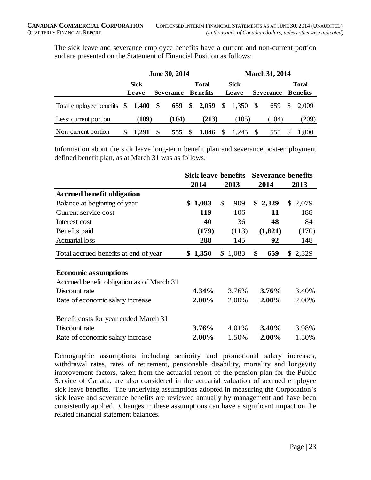The sick leave and severance employee benefits have a current and non-current portion and are presented on the Statement of Financial Position as follows:

|                                     |   | June 30, 2014 |    |                  |    |                       | <b>March 31, 2014</b> |             |      |                  |  |                 |
|-------------------------------------|---|---------------|----|------------------|----|-----------------------|-----------------------|-------------|------|------------------|--|-----------------|
|                                     |   | <b>Sick</b>   |    |                  |    | <b>Total</b>          |                       | <b>Sick</b> |      |                  |  | <b>Total</b>    |
|                                     |   | Leave         |    | <b>Severance</b> |    | <b>Benefits</b>       |                       | Leave       |      | <b>Severance</b> |  | <b>Benefits</b> |
| Total employee benefits \$ 1,400 \$ |   |               |    |                  |    | 659 \$ 2,059 \$ 1,350 |                       |             | - \$ |                  |  | 659 \$ 2,009    |
| Less: current portion               |   | (109)         |    | (104)            |    | (213)                 |                       | (105)       |      | (104)            |  | (209)           |
| Non-current portion                 | S | 1,291         | -S | 555              | \$ | 1,846                 | <sup>\$</sup>         | $1,245$ \$  |      | 555              |  | 1.800           |

Information about the sick leave long-term benefit plan and severance post-employment defined benefit plan, as at March 31 was as follows:

|                                           | Sick leave benefits |         |                | <b>Severance benefits</b> |           |         |
|-------------------------------------------|---------------------|---------|----------------|---------------------------|-----------|---------|
|                                           |                     | 2014    |                | 2013                      | 2014      | 2013    |
| <b>Accrued benefit obligation</b>         |                     |         |                |                           |           |         |
| Balance at beginning of year              |                     | \$1,083 | \$             | 909                       | \$2,329   | \$2,079 |
| Current service cost                      |                     | 119     |                | 106                       | 11        | 188     |
| Interest cost                             |                     | 40      |                | 36                        | 48        | 84      |
| Benefits paid                             |                     | (179)   |                | (113)                     | (1,821)   | (170)   |
| <b>Actuarial</b> loss                     |                     | 288     |                | 145                       | 92        | 148     |
| Total accrued benefits at end of year     |                     | \$1,350 | $\mathbb{S}^-$ | 1,083                     | \$<br>659 | \$2,329 |
|                                           |                     |         |                |                           |           |         |
| <b>Economic assumptions</b>               |                     |         |                |                           |           |         |
| Accrued benefit obligation as of March 31 |                     |         |                |                           |           |         |
| Discount rate                             |                     | 4.34%   |                | 3.76%                     | 3.76%     | 3.40%   |
| Rate of economic salary increase          |                     | 2.00%   |                | 2.00%                     | 2.00%     | 2.00%   |
| Benefit costs for year ended March 31     |                     |         |                |                           |           |         |
| Discount rate                             |                     | 3.76%   |                | 4.01%                     | 3.40%     | 3.98%   |
| Rate of economic salary increase          |                     | 2.00%   |                | 1.50%                     | 2.00%     | 1.50%   |

Demographic assumptions including seniority and promotional salary increases, withdrawal rates, rates of retirement, pensionable disability, mortality and longevity improvement factors, taken from the actuarial report of the pension plan for the Public Service of Canada, are also considered in the actuarial valuation of accrued employee sick leave benefits. The underlying assumptions adopted in measuring the Corporation's sick leave and severance benefits are reviewed annually by management and have been consistently applied. Changes in these assumptions can have a significant impact on the related financial statement balances.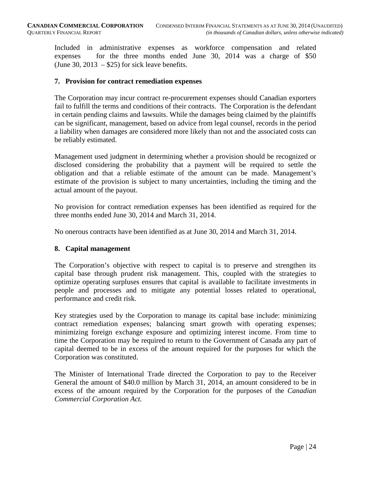Included in administrative expenses as workforce compensation and related expenses for the three months ended June 30, 2014 was a charge of \$50 (June 30, 2013 –  $$25$ ) for sick leave benefits.

#### **7. Provision for contract remediation expenses**

The Corporation may incur contract re-procurement expenses should Canadian exporters fail to fulfill the terms and conditions of their contracts. The Corporation is the defendant in certain pending claims and lawsuits. While the damages being claimed by the plaintiffs can be significant, management, based on advice from legal counsel, records in the period a liability when damages are considered more likely than not and the associated costs can be reliably estimated.

Management used judgment in determining whether a provision should be recognized or disclosed considering the probability that a payment will be required to settle the obligation and that a reliable estimate of the amount can be made. Management's estimate of the provision is subject to many uncertainties, including the timing and the actual amount of the payout.

No provision for contract remediation expenses has been identified as required for the three months ended June 30, 2014 and March 31, 2014.

No onerous contracts have been identified as at June 30, 2014 and March 31, 2014.

#### **8. Capital management**

The Corporation's objective with respect to capital is to preserve and strengthen its capital base through prudent risk management. This, coupled with the strategies to optimize operating surpluses ensures that capital is available to facilitate investments in people and processes and to mitigate any potential losses related to operational, performance and credit risk.

Key strategies used by the Corporation to manage its capital base include: minimizing contract remediation expenses; balancing smart growth with operating expenses; minimizing foreign exchange exposure and optimizing interest income. From time to time the Corporation may be required to return to the Government of Canada any part of capital deemed to be in excess of the amount required for the purposes for which the Corporation was constituted.

The Minister of International Trade directed the Corporation to pay to the Receiver General the amount of \$40.0 million by March 31, 2014, an amount considered to be in excess of the amount required by the Corporation for the purposes of the *Canadian Commercial Corporation Act.*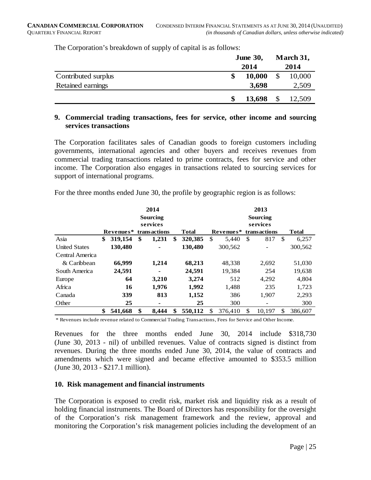|                     | <b>June 30,</b> |        |               | March 31, |  |  |
|---------------------|-----------------|--------|---------------|-----------|--|--|
|                     |                 | 2014   |               | 2014      |  |  |
| Contributed surplus |                 | 10,000 | \$            | 10,000    |  |  |
| Retained earnings   |                 | 3,698  |               | 2,509     |  |  |
|                     |                 | 13,698 | $\mathcal{S}$ | 12,509    |  |  |

The Corporation's breakdown of supply of capital is as follows:

#### **9. Commercial trading transactions, fees for service, other income and sourcing services transactions**

The Corporation facilitates sales of Canadian goods to foreign customers including governments, international agencies and other buyers and receives revenues from commercial trading transactions related to prime contracts, fees for service and other income. The Corporation also engages in transactions related to sourcing services for support of international programs.

For the three months ended June 30, the profile by geographic region is as follows:

|                      | 2014     |           |    |              |    |              | 2013     |           |               |              |               |              |
|----------------------|----------|-----------|----|--------------|----|--------------|----------|-----------|---------------|--------------|---------------|--------------|
|                      | Sourcing |           |    |              |    |              | Sourcing |           |               |              |               |              |
|                      |          | services  |    |              |    |              |          |           |               | services     |               |              |
|                      |          | Revenues* |    | transactions |    | <b>Total</b> |          | Revenues* |               | transactions |               | <b>Total</b> |
| Asia                 | \$       | 319,154   | \$ | 1,231        | \$ | 320,385      | \$.      | 5.440     | <sup>\$</sup> | 817          | <sup>\$</sup> | 6,257        |
| <b>United States</b> |          | 130,480   |    |              |    | 130,480      |          | 300,562   |               |              |               | 300,562      |
| Central America      |          |           |    |              |    |              |          |           |               |              |               |              |
| & Caribbean          |          | 66,999    |    | 1,214        |    | 68,213       |          | 48,338    |               | 2,692        |               | 51,030       |
| South America        |          | 24,591    |    | ٠            |    | 24,591       |          | 19,384    |               | 254          |               | 19,638       |
| Europe               |          | 64        |    | 3,210        |    | 3,274        |          | 512       |               | 4,292        |               | 4,804        |
| Africa               |          | 16        |    | 1,976        |    | 1,992        |          | 1,488     |               | 235          |               | 1,723        |
| Canada               |          | 339       |    | 813          |    | 1,152        |          | 386       |               | 1,907        |               | 2,293        |
| Other                |          | 25        |    | ٠            |    | 25           |          | 300       |               |              |               | 300          |
|                      | \$       | 541,668   | \$ | 8,444        |    | 550,112      |          | 376,410   | \$            | 10,197       | \$            | 386,607      |

\* Revenues include revenue related to Commercial Trading Transactions, Fees for Service and Other Income.

Revenues for the three months ended June 30, 2014 include \$318,730 (June 30, 2013 - nil) of unbilled revenues. Value of contracts signed is distinct from revenues. During the three months ended June 30, 2014, the value of contracts and amendments which were signed and became effective amounted to \$353.5 million (June 30, 2013 - \$217.1 million).

#### **10. Risk management and financial instruments**

The Corporation is exposed to credit risk, market risk and liquidity risk as a result of holding financial instruments. The Board of Directors has responsibility for the oversight of the Corporation's risk management framework and the review, approval and monitoring the Corporation's risk management policies including the development of an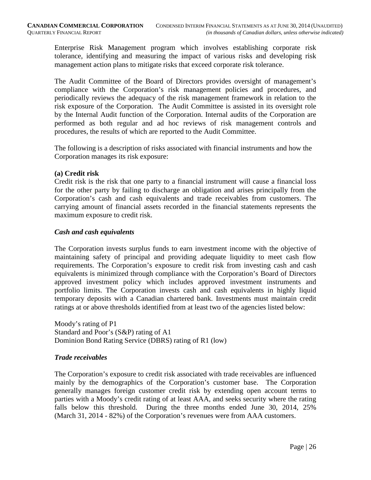Enterprise Risk Management program which involves establishing corporate risk tolerance, identifying and measuring the impact of various risks and developing risk management action plans to mitigate risks that exceed corporate risk tolerance.

The Audit Committee of the Board of Directors provides oversight of management's compliance with the Corporation's risk management policies and procedures, and periodically reviews the adequacy of the risk management framework in relation to the risk exposure of the Corporation. The Audit Committee is assisted in its oversight role by the Internal Audit function of the Corporation. Internal audits of the Corporation are performed as both regular and ad hoc reviews of risk management controls and procedures, the results of which are reported to the Audit Committee.

The following is a description of risks associated with financial instruments and how the Corporation manages its risk exposure:

#### **(a) Credit risk**

Credit risk is the risk that one party to a financial instrument will cause a financial loss for the other party by failing to discharge an obligation and arises principally from the Corporation's cash and cash equivalents and trade receivables from customers. The carrying amount of financial assets recorded in the financial statements represents the maximum exposure to credit risk.

#### *Cash and cash equivalents*

The Corporation invests surplus funds to earn investment income with the objective of maintaining safety of principal and providing adequate liquidity to meet cash flow requirements. The Corporation's exposure to credit risk from investing cash and cash equivalents is minimized through compliance with the Corporation's Board of Directors approved investment policy which includes approved investment instruments and portfolio limits. The Corporation invests cash and cash equivalents in highly liquid temporary deposits with a Canadian chartered bank. Investments must maintain credit ratings at or above thresholds identified from at least two of the agencies listed below:

Moody's rating of P1 Standard and Poor's (S&P) rating of A1 Dominion Bond Rating Service (DBRS) rating of R1 (low)

#### *Trade receivables*

The Corporation's exposure to credit risk associated with trade receivables are influenced mainly by the demographics of the Corporation's customer base. The Corporation generally manages foreign customer credit risk by extending open account terms to parties with a Moody's credit rating of at least AAA, and seeks security where the rating falls below this threshold. During the three months ended June 30, 2014, 25% (March 31, 2014 - 82%) of the Corporation's revenues were from AAA customers.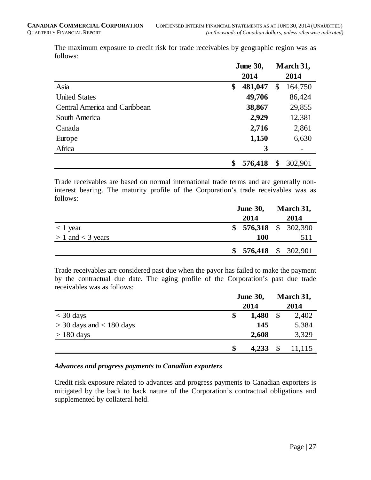|                               | <b>June 30,</b> |         |                           | March 31, |  |  |
|-------------------------------|-----------------|---------|---------------------------|-----------|--|--|
|                               |                 | 2014    |                           | 2014      |  |  |
| Asia                          | \$              | 481,047 | \$                        | 164,750   |  |  |
| <b>United States</b>          |                 | 49,706  |                           | 86,424    |  |  |
| Central America and Caribbean |                 | 38,867  |                           | 29,855    |  |  |
| South America                 |                 | 2,929   |                           | 12,381    |  |  |
| Canada                        |                 | 2,716   |                           | 2,861     |  |  |
| Europe                        |                 | 1,150   |                           | 6,630     |  |  |
| Africa                        |                 | 3       |                           |           |  |  |
|                               |                 | 576,418 | $\boldsymbol{\mathsf{S}}$ | 302,901   |  |  |

The maximum exposure to credit risk for trade receivables by geographic region was as follows:

Trade receivables are based on normal international trade terms and are generally noninterest bearing. The maturity profile of the Corporation's trade receivables was as follows:

|                          | <b>June 30,</b>       | March 31, |  |  |
|--------------------------|-----------------------|-----------|--|--|
|                          | 2014                  | 2014      |  |  |
| $\langle 1 \rangle$ year | $$576,318$ $$302,390$ |           |  |  |
| $> 1$ and $<$ 3 years    | <b>100</b>            | 511       |  |  |
|                          | $$576,418$ $$302,901$ |           |  |  |

Trade receivables are considered past due when the payor has failed to make the payment by the contractual due date. The aging profile of the Corporation's past due trade receivables was as follows:

|                              | <b>June 30,</b> |       |               | March 31, |
|------------------------------|-----------------|-------|---------------|-----------|
|                              |                 | 2014  |               | 2014      |
| $<$ 30 days                  | \$              | 1,480 | $\mathcal{S}$ | 2,402     |
| $>$ 30 days and $<$ 180 days |                 | 145   |               | 5,384     |
| $> 180$ days                 |                 | 2,608 |               | 3,329     |
|                              | \$              | 4,233 |               | 11,115    |

#### *Advances and progress payments to Canadian exporters*

Credit risk exposure related to advances and progress payments to Canadian exporters is mitigated by the back to back nature of the Corporation's contractual obligations and supplemented by collateral held.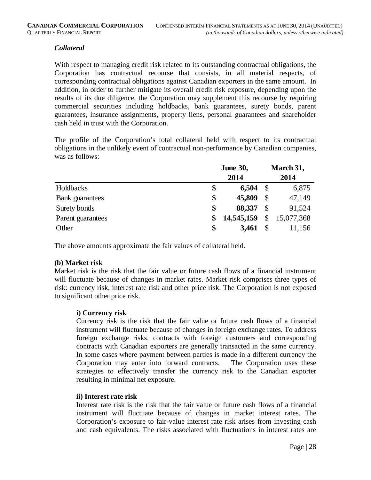#### *Collateral*

With respect to managing credit risk related to its outstanding contractual obligations, the Corporation has contractual recourse that consists, in all material respects, of corresponding contractual obligations against Canadian exporters in the same amount. In addition, in order to further mitigate its overall credit risk exposure, depending upon the results of its due diligence, the Corporation may supplement this recourse by requiring commercial securities including holdbacks, bank guarantees, surety bonds, parent guarantees, insurance assignments, property liens, personal guarantees and shareholder cash held in trust with the Corporation.

The profile of the Corporation's total collateral held with respect to its contractual obligations in the unlikely event of contractual non-performance by Canadian companies, was as follows:

|                   | <b>June 30,</b> |            |              | March 31,  |  |  |
|-------------------|-----------------|------------|--------------|------------|--|--|
|                   |                 | 2014       |              |            |  |  |
| Holdbacks         | \$              | 6,504      | $\mathbb{S}$ | 6,875      |  |  |
| Bank guarantees   | \$              | 45,809     | \$           | 47,149     |  |  |
| Surety bonds      | \$              | 88,337     | \$           | 91,524     |  |  |
| Parent guarantees | \$              | 14,545,159 | \$           | 15,077,368 |  |  |
| Other             | \$              | 3,461      |              | 11,156     |  |  |

The above amounts approximate the fair values of collateral held.

#### **(b) Market risk**

Market risk is the risk that the fair value or future cash flows of a financial instrument will fluctuate because of changes in market rates. Market risk comprises three types of risk: currency risk, interest rate risk and other price risk. The Corporation is not exposed to significant other price risk.

#### **i) Currency risk**

Currency risk is the risk that the fair value or future cash flows of a financial instrument will fluctuate because of changes in foreign exchange rates. To address foreign exchange risks, contracts with foreign customers and corresponding contracts with Canadian exporters are generally transacted in the same currency. In some cases where payment between parties is made in a different currency the Corporation may enter into forward contracts. The Corporation uses these strategies to effectively transfer the currency risk to the Canadian exporter resulting in minimal net exposure.

#### **ii) Interest rate risk**

Interest rate risk is the risk that the fair value or future cash flows of a financial instrument will fluctuate because of changes in market interest rates. The Corporation's exposure to fair-value interest rate risk arises from investing cash and cash equivalents. The risks associated with fluctuations in interest rates are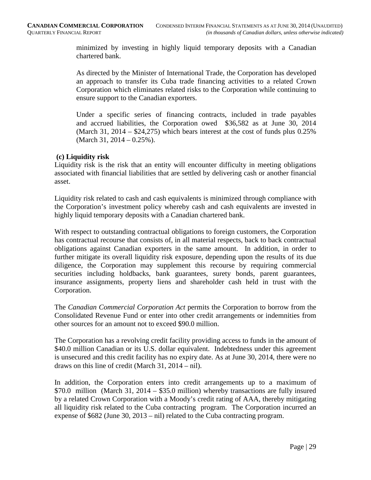minimized by investing in highly liquid temporary deposits with a Canadian chartered bank.

As directed by the Minister of International Trade, the Corporation has developed an approach to transfer its Cuba trade financing activities to a related Crown Corporation which eliminates related risks to the Corporation while continuing to ensure support to the Canadian exporters.

Under a specific series of financing contracts, included in trade payables and accrued liabilities, the Corporation owed \$36,582 as at June 30, 2014 (March 31, 2014 –  $$24,275$ ) which bears interest at the cost of funds plus 0.25% (March 31, 2014 – 0.25%).

#### **(c) Liquidity risk**

Liquidity risk is the risk that an entity will encounter difficulty in meeting obligations associated with financial liabilities that are settled by delivering cash or another financial asset.

Liquidity risk related to cash and cash equivalents is minimized through compliance with the Corporation's investment policy whereby cash and cash equivalents are invested in highly liquid temporary deposits with a Canadian chartered bank.

With respect to outstanding contractual obligations to foreign customers, the Corporation has contractual recourse that consists of, in all material respects, back to back contractual obligations against Canadian exporters in the same amount. In addition, in order to further mitigate its overall liquidity risk exposure, depending upon the results of its due diligence, the Corporation may supplement this recourse by requiring commercial securities including holdbacks, bank guarantees, surety bonds, parent guarantees, insurance assignments, property liens and shareholder cash held in trust with the Corporation.

The *Canadian Commercial Corporation Act* permits the Corporation to borrow from the Consolidated Revenue Fund or enter into other credit arrangements or indemnities from other sources for an amount not to exceed \$90.0 million.

The Corporation has a revolving credit facility providing access to funds in the amount of \$40.0 million Canadian or its U.S. dollar equivalent. Indebtedness under this agreement is unsecured and this credit facility has no expiry date. As at June 30, 2014, there were no draws on this line of credit (March 31, 2014 – nil).

In addition, the Corporation enters into credit arrangements up to a maximum of \$70.0 million (March 31, 2014 – \$35.0 million) whereby transactions are fully insured by a related Crown Corporation with a Moody's credit rating of AAA, thereby mitigating all liquidity risk related to the Cuba contracting program. The Corporation incurred an expense of \$682 (June 30, 2013 – nil) related to the Cuba contracting program.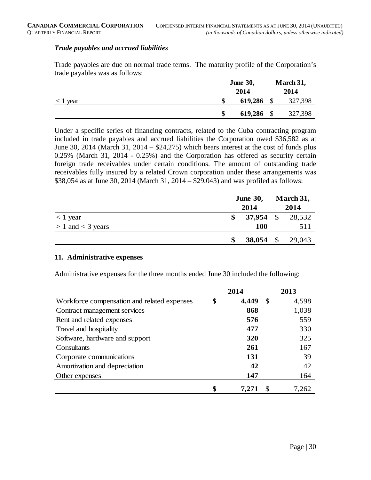#### *Trade payables and accrued liabilities*

Trade payables are due on normal trade terms. The maturity profile of the Corporation's trade payables was as follows:

|               | <b>June 30,</b> |      | March 31, |
|---------------|-----------------|------|-----------|
|               | 2014            |      | 2014      |
| $\leq 1$ year | \$<br>619,286   |      | 327,398   |
|               | \$<br>619,286   | - \$ | 327,398   |

Under a specific series of financing contracts, related to the Cuba contracting program included in trade payables and accrued liabilities the Corporation owed \$36,582 as at June 30, 2014 (March 31, 2014 – \$24,275) which bears interest at the cost of funds plus 0.25% (March 31, 2014 - 0.25%) and the Corporation has offered as security certain foreign trade receivables under certain conditions. The amount of outstanding trade receivables fully insured by a related Crown corporation under these arrangements was \$38,054 as at June 30, 2014 (March 31, 2014 – \$29,043) and was profiled as follows:

|                       | <b>June 30,</b> |             |  | March 31,        |  |  |
|-----------------------|-----------------|-------------|--|------------------|--|--|
|                       |                 | 2014        |  | 2014             |  |  |
| $<$ 1 year            |                 |             |  | 37,954 \$ 28,532 |  |  |
| $> 1$ and $<$ 3 years |                 | <b>100</b>  |  | 511              |  |  |
|                       |                 | $38,054$ \$ |  | 29,043           |  |  |

#### **11. Administrative expenses**

Administrative expenses for the three months ended June 30 included the following:

|                                             | 2014        | 2013        |
|---------------------------------------------|-------------|-------------|
| Workforce compensation and related expenses | \$<br>4,449 | \$<br>4,598 |
| Contract management services                | 868         | 1,038       |
| Rent and related expenses                   | 576         | 559         |
| Travel and hospitality                      | 477         | 330         |
| Software, hardware and support              | 320         | 325         |
| Consultants                                 | 261         | 167         |
| Corporate communications                    | 131         | 39          |
| Amortization and depreciation               | 42          | 42          |
| Other expenses                              | 147         | 164         |
|                                             | \$<br>7,271 | 7,262       |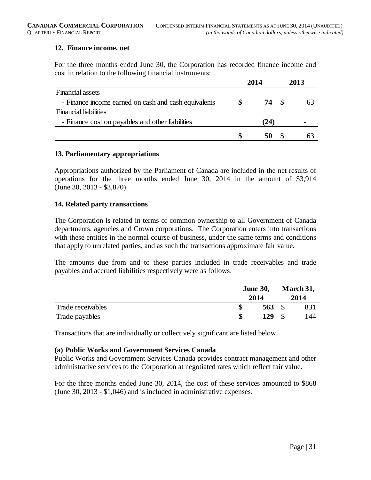#### **12. Finance income, net**

For the three months ended June 30, the Corporation has recorded finance income and cost in relation to the following financial instruments:

|                                                      | 2014 | 2013 |
|------------------------------------------------------|------|------|
| Financial assets                                     |      |      |
| - Finance income earned on cash and cash equivalents | 74 S |      |
| <b>Financial liabilities</b>                         |      |      |
| - Finance cost on payables and other liabilities     | (24) |      |
|                                                      |      |      |

#### **13. Parliamentary appropriations**

Appropriations authorized by the Parliament of Canada are included in the net results of operations for the three months ended June 30, 2014 in the amount of \$3,914 (June 30, 2013 - \$3,870).

#### **14. Related party transactions**

The Corporation is related in terms of common ownership to all Government of Canada departments, agencies and Crown corporations. The Corporation enters into transactions with these entities in the normal course of business, under the same terms and conditions that apply to unrelated parties, and as such the transactions approximate fair value.

The amounts due from and to these parties included in trade receivables and trade payables and accrued liabilities respectively were as follows:

|                   |     | <b>June 30,</b><br>2014 |               | March 31,<br>2014 |  |
|-------------------|-----|-------------------------|---------------|-------------------|--|
| Trade receivables |     | 563 $\sqrt{3}$          |               | 831               |  |
| Trade payables    | \$. | 129                     | $\mathcal{S}$ | 144               |  |

Transactions that are individually or collectively significant are listed below.

#### **(a) Public Works and Government Services Canada**

Public Works and Government Services Canada provides contract management and other administrative services to the Corporation at negotiated rates which reflect fair value.

For the three months ended June 30, 2014, the cost of these services amounted to \$868 (June 30, 2013 - \$1,046) and is included in administrative expenses.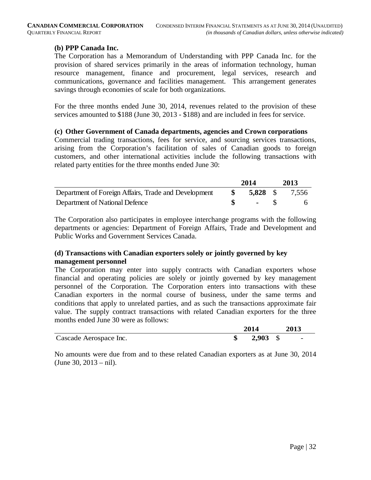#### **(b) PPP Canada Inc.**

The Corporation has a Memorandum of Understanding with PPP Canada Inc. for the provision of shared services primarily in the areas of information technology, human resource management, finance and procurement, legal services, research and communications, governance and facilities management. This arrangement generates savings through economies of scale for both organizations.

For the three months ended June 30, 2014, revenues related to the provision of these services amounted to \$188 (June 30, 2013 - \$188) and are included in fees for service.

#### **(c) Other Government of Canada departments, agencies and Crown corporations**

Commercial trading transactions, fees for service, and sourcing services transactions, arising from the Corporation's facilitation of sales of Canadian goods to foreign customers, and other international activities include the following transactions with related party entities for the three months ended June 30:

|                                                      | 2014                        | 2013                           |
|------------------------------------------------------|-----------------------------|--------------------------------|
| Department of Foreign Affairs, Trade and Development |                             | $\frac{\$}{\$}$ 5,828 \; 7,556 |
| Department of National Defence                       | $\sim$ $\sim$ $\sim$ $\sim$ | - 6                            |

The Corporation also participates in employee interchange programs with the following departments or agencies: Department of Foreign Affairs, Trade and Development and Public Works and Government Services Canada.

#### **(d) Transactions with Canadian exporters solely or jointly governed by key management personnel**

The Corporation may enter into supply contracts with Canadian exporters whose financial and operating policies are solely or jointly governed by key management personnel of the Corporation. The Corporation enters into transactions with these Canadian exporters in the normal course of business, under the same terms and conditions that apply to unrelated parties, and as such the transactions approximate fair value. The supply contract transactions with related Canadian exporters for the three months ended June 30 were as follows:

|                        | 2014       | 2013 |
|------------------------|------------|------|
| Cascade Aerospace Inc. | $2,903$ \$ | -    |

No amounts were due from and to these related Canadian exporters as at June 30, 2014 (June 30, 2013 – nil).